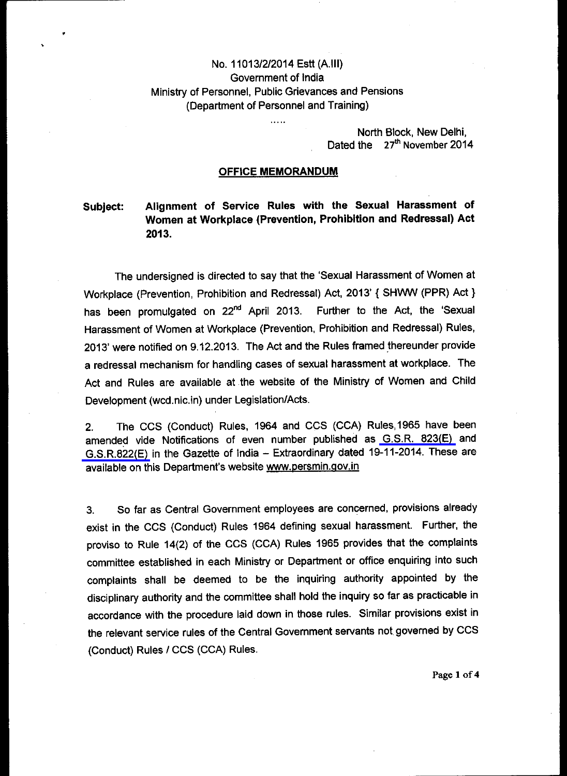# No. 11013/2/2014 Estt (A.III) Government of India Ministry of Personnel, Public Grievances and Pensions (Department of Personnel and Training)

 $\overline{1}$ 

North Block, New Delhi, Dated the 27<sup>th</sup> November 2014

## **OFFICE MEMORANDUM**

# **Subject: Alignment of Service Rules with the Sexual Harassment of Women at Workplace (Prevention, Prohibition and Redressal) Act 2013.**

The undersigned is directed to say that the 'Sexual Harassment of Women at Workplace (Prevention, Prohibition and Redressal) Act, 2013' { SHWW (PPR) Act } has been promulgated on 22<sup>nd</sup> April 2013. Further to the Act, the 'Sexual Harassment of Women at Workplace (Prevention, Prohibition and Redressal) Rules, 2013' were notified on 9.12.2013. The Act and the Rules framed thereunder provide a redressal mechanism for handling cases of sexual harassment at workplace. The Act and Rules are available at the website of the Ministry of Women and Child Development (wcd.nic.in) under Legislation/Acts.

2. The CCS (Conduct) Rules, 1964 and CCS (CCA) Rules,1965 have been amended vide Notifications of even number published as [G.S.R. 823\(E\) a](http://ccis.nic.in/WriteReadData/CircularPortal/D2/D02est/GSR-823-19112014.pdf)nd [G.S.R.822\(E\)](http://ccis.nic.in/WriteReadData/CircularPortal/D2/D02est/11013_2_2014-Estt.A-19112014.pdf) in the Gazette of India — Extraordinary dated 19-11-2014. These are available on this Department's website www.persmin.qov.in

3. So far as Central Government employees are concerned, provisions already exist in the CCS (Conduct) Rules 1964 defining sexual harassment. Further, the proviso to Rule 14(2) of the CCS (CCA) Rules 1965 provides that the complaints committee established in each Ministry or Department or office enquiring into such complaints shall be deemed to be the inquiring authority appointed by the disciplinary authority and the committee shall hold the inquiry so far as practicable in accordance with the procedure laid down in those rules. Similar provisions exist in the relevant service rules of the Central Govemment servants not, governed by CCS (Conduct) Rules / CCS (CCA) Rules.

Page 1 of 4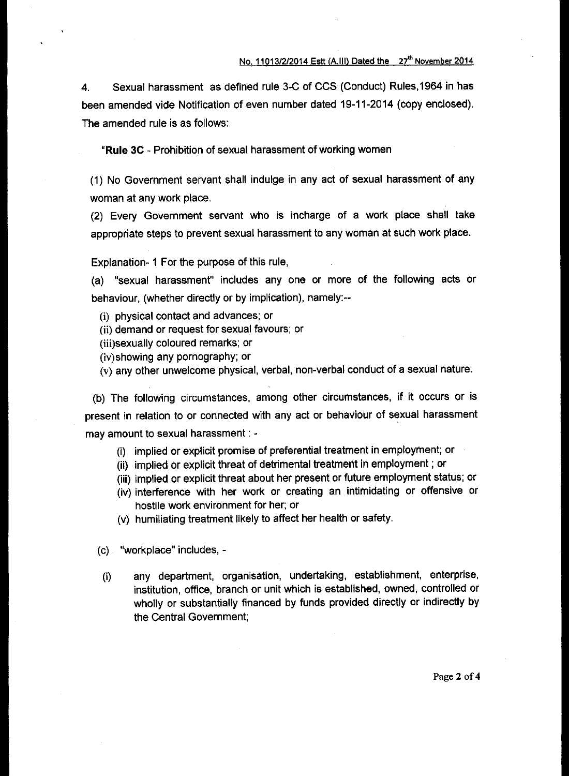4. Sexual harassment as defined rule 3-C of CCS (Conduct) Rules,1964 in has been amended vide Notification of even number dated 19-11-2014 (copy enclosed). The amended rule is as follows:

**"Rule 3C -** Prohibition of sexual harassment of working women

(1) No Government servant shall indulge in any act of sexual harassment of any woman at any work place.

(2) Every Government servant who is incharge of a work place shall take appropriate steps to prevent sexual harassment to any woman at such work place.

Explanation- 1 For the purpose of this rule,

(a) "sexual harassment" includes any one or more of the following acts or behaviour, (whether directly or by implication), namely:--

- (i) physical contact and advances; or
- (ii) demand or request for sexual favours; or
- (iii)sexually coloured remarks; or
- (iv)showing any pornography; or

(v) any other unwelcome physical, verbal, non-verbal conduct of a sexual nature.

(b) The following circumstances, among other circumstances, if it occurs or is present in relation to or connected with any act or behaviour of sexual harassment may amount to sexual harassment : -

- (i) implied or explicit promise of preferential treatment in employment; or
- (ii) implied or explicit threat of detrimental treatment in employment ; or
- (iii) implied or explicit threat about her present or future employment status; or
- (iv) interference with her work or creating an intimidating or offensive or hostile work environment for her; or
- (v) humiliating treatment likely to affect her health or safety.
- (c) "workplace" includes, -
- (i) any department, organisation, undertaking, establishment, enterprise, institution, office, branch or unit which is established, owned, controlled or wholly or substantially financed by funds provided directly or indirectly by the Central Government;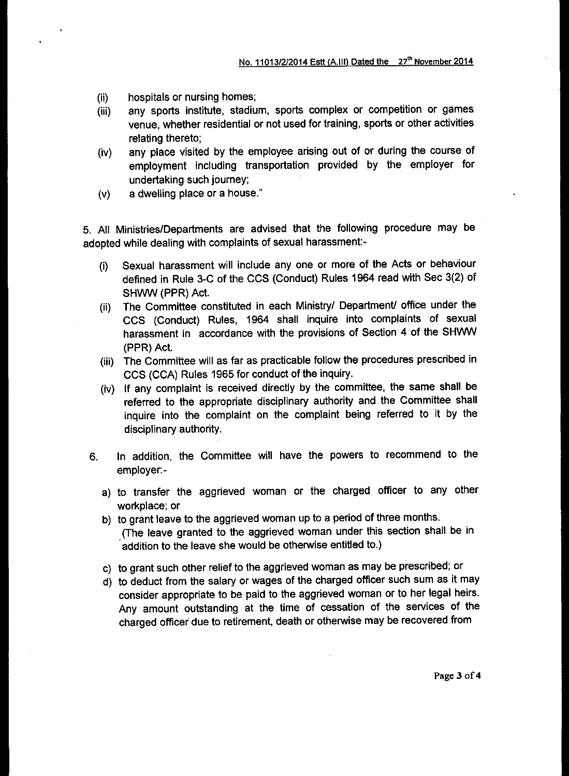- (ii) hospitals or nursing homes;
- (iii) any sports institute, stadium, sports complex or competition or games venue, whether residential or not used for training, sports or other activities relating thereto;
- (iv) any place visited by the employee arising out of or during the course of employment including transportation provided by the employer for undertaking such journey;
- (v) a dwelling place or a house."

5. All Ministries/Departments are advised that the following procedure may be adopted while dealing with complaints of sexual harassment:-

- (i) Sexual harassment will include any one or more of the Acts or behaviour defined in Rule 3-C of the CCS (Conduct) Rules 1964 read with Sec 3(2) of SHWW (PPR) Act.
- (ii) The Committee constituted in each Ministry/ Department/ office under the CCS (Conduct) Rules, 1964 shall inquire into complaints of sexual harassment in accordance with the provisions of Section 4 of the SHWW (PPR) Act.
- (iii) The Committee will as far as practicable follow the procedures prescribed in CCS (CCA) Rules 1965 for conduct of the inquiry.
- (iv) If any complaint is received directly by the committee, the same shall be referred to the appropriate disciplinary authority and the Committee shall inquire into the complaint on the complaint being referred to it by the disciplinary authority.
- 6. In addition, the Committee will have the powers to recommend to the employer:
	- a) to transfer the aggrieved woman or the charged officer to any other workplace; or
	- b) to grant leave to the aggrieved woman up to a period of three months. (The leave granted to the aggrieved woman under this section shall be in addition to the leave she would be otherwise entitled to.)
	- c) to grant such other relief to the aggrieved woman as may be prescribed; or
	- d) to deduct from the salary or wages of the charged officer such sum as it may consider appropriate to be paid to the aggrieved woman or to her legal heirs. Any amount outstanding at the time of cessation of the services of the charged officer due to retirement, death or otherwise may be recovered from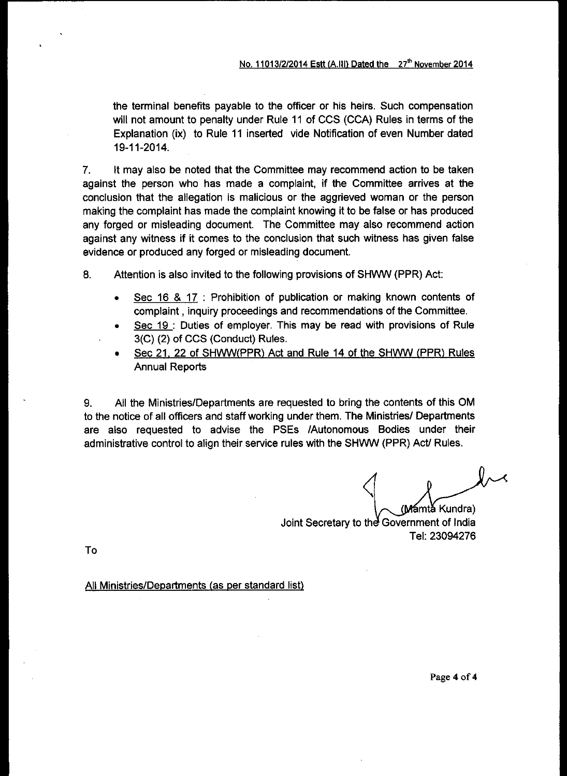the terminal benefits payable to the officer or his heirs. Such compensation will not amount to penalty under Rule 11 of CCS (CCA) Rules in terms of the Explanation (ix) to Rule 11 inserted vide Notification of even Number dated 19-11-2014.

7. It may also be noted that the Committee may recommend action to be taken against the person who has made a complaint, if the Committee arrives at the conclusion that the allegation is malicious or the aggrieved woman or the person making the complaint has made the complaint knowing it to be false or has produced any forged or misleading document. The Committee may also recommend action against any witness if it comes to the conclusion that such witness has given false evidence or produced any forged or misleading document.

8. Attention is also invited to the following provisions of SHWW (PPR) Act:

- Sec 16 & 17: Prohibition of publication or making known contents of complaint , inquiry proceedings and recommendations of the Committee.
- Sec 19 : Duties of employer. This may be read with provisions of Rule 3(C) (2) of CCS (Conduct) Rules.
- Sec 21, 22 of SHWW(PPR) Act and Rule 14 of the SHWW (PPR) Rules Annual Reports

9. All the Ministries/Departments are requested to bring the contents of this OM to the notice of all officers and staff working under them. The Ministries/ Departments are also requested to advise the PSEs /Autonomous Bodies under their administrative control to align their service rules with the SHWW (PPR) Act/ Rules.

(Mamta Kundra)

Joint Secretary to the Government of India Tel: 23094276

To

All Ministries/Departments (as per standard list)

Page **4** of **4**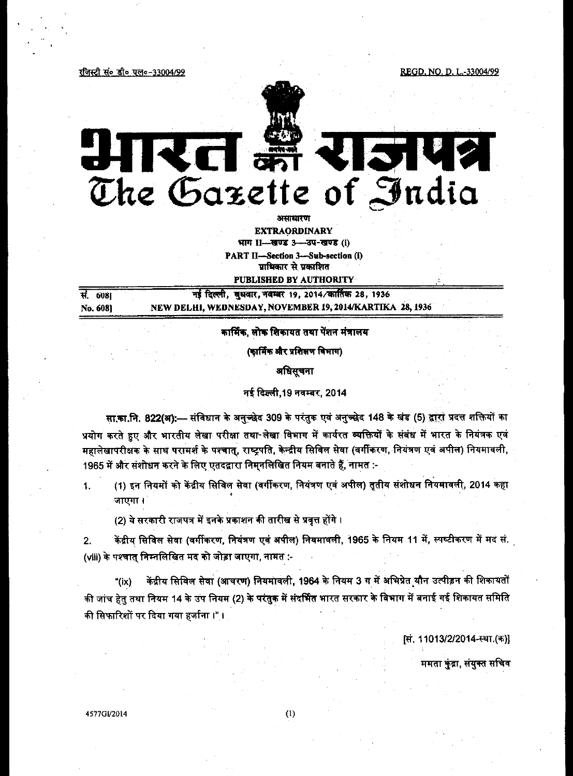रजिस्टी सं० डी० एल०-33004/99

REGD, NO. D. L.-33004/99



# HIKEI M CISIUS 512

असाधारण **EXTRAORDINARY** भाग 11-साण्ड 3- उप-खण्ड (i) PART II-Section 3-Sub-section (i) प्राधिकार से प्रकाशित

PUBLISHED BY AUTHORITY

| सं. 6081 | नई दिल्ली, बुधवार, नवम्बर 19, 2014/कार्तिक 28, 1936      |
|----------|----------------------------------------------------------|
| No. 6081 | NEW DELHI, WEDNESDAY, NOVEMBER 19, 2014/KARTIKA 28, 1936 |

# कार्मिक, लोक शिकायत तथा पेंशन मंत्रालय

(कार्मिक और प्रशिक्षण विभाग)

अधिसूचना

नई दिल्ली, 19 नवम्बर, 2014

सा.का.नि. 822(अ):— संविधान के अनुच्छेद 309 के परंतुक एवं अनुच्छेद 148 के खंड (5) द्वारा प्रदत्त शक्तियों का प्रयोग करते हुए और भारतीय लेखा परीक्षा तथा लेखा विभाग में कार्यरत व्यक्तियों के संबंध में भारत के नियंत्रक एवं महालेखापरीक्षक के साथ परामर्श के पश्चात्, राष्ट्रपति, केन्द्रीय सिविल सेवा (वर्गीकरण, नियंत्रण एवं अपील) नियमावली, 1965 में और संशोधन करने के लिए एतदद्वारा निमनलिखित नियम बनाते हैं, नामत :-

(1) इन नियमों को केंद्रीय सिविल सेवा (वर्गीकरण, नियंत्रण एवं अपील) तृतीय संशोधन नियमावली, 2014 कहा  $1.$ जाएगा ।

(2) ये सरकारी राजपत्र में इनके प्रकाशन की तारीख से प्रवृत्त होंगे ।

केंद्रीय सिविल सेवा (वर्गीकरण, नियंत्रण एवं अपील) नियमावली, 1965 के नियम 11 में, स्पष्टीकरण में मद सं.  $2.$ (viii) के पश्चात् निम्नलिखित मद को जोड़ा जाएगा, नामत :-

केंद्रीय सिविल सेवा (आचरण) नियमावली, 1964 के नियम 3 ग में अभिप्रेत यौन उत्पीड़न की शिकायतों "(ix) की जांच हेतु तथा नियम 14 के उप नियम (2) के परंतुक में संदर्भित भारत सरकार के विभाग में बनाई गई शिकायत समिति की सिफारिशों पर दिया गया हर्जाना।"।

क्षि. 11013/2/2014-स्था.(क)।

ममता कुंद्रा, संयुक्त सचिव

4577GI/2014

 $(1)$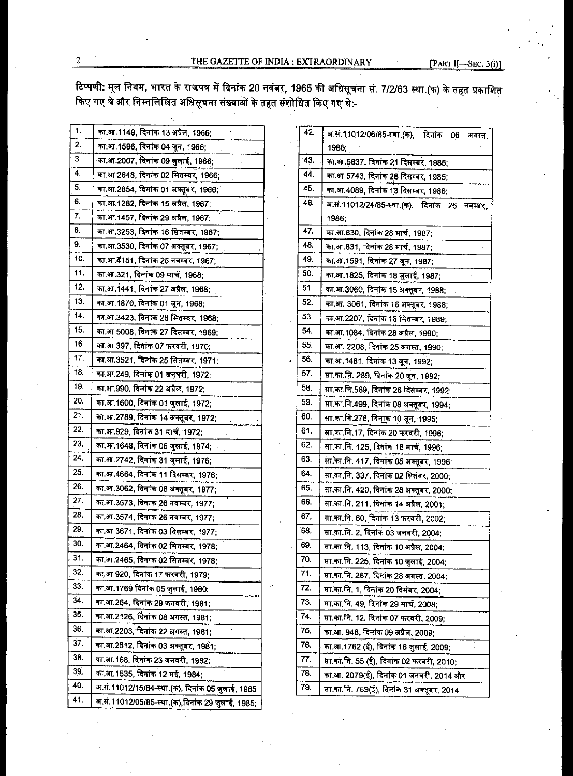THE GAZETTE OF INDIA : EXTRAORDINARY

 $[PART II-SEC. 3(i)]$ 

टिप्पणी: मूल नियम, भारत के राजपत्र में दिनांक 20 नवंबर, 1965 की अधिसूचना सं. 7/2/63 स्था.(क) के तहत प्रकाशित किए गए थे और निम्नलिखित अधिसूचना संख्याओं के तहत संशोधित किए गए थे:-

| 1.  | का.आ.1149, दिनांक 13 अप्रैल, 1966;               |
|-----|--------------------------------------------------|
| 2.  | का.आ.1596, दिनांक 04 जून, 1966;                  |
| 3.  | का.आ.2007, दिनांक 09 जुलाई, 1966;                |
| 4.  | का.आ.2648, दिनांक 02 सितम्बर, 1966;              |
| 5.  | का.आ.2854, दिनांक 01 अक्तूबर, 1966;              |
| 6.  | का.आ.1282, दिनांक 15 अप्रैल, 1967:               |
| 7.  | का.आ.1457, दिनांक 29 अप्रैल, 1967;               |
| 8.  | का.आ.3253, दिनांक 16 सितम्बर, 1967;              |
| 9.  | का.आ.3530, दिनांक 07 अक्तूबर, 1967;              |
| 10. | का.आ.4ै151, दिनांक 25 नवम्बर, 1967;              |
| 11. | का.आ.321, दिनांक 09 मार्च, 1968;                 |
| 12. | का.आ.1441, दिनांक 27 अप्रैल, 1968;               |
| 13. | का.आ.1870. दिनांक 01 जून, 1968;                  |
| 14. | का.आ.3423, दिनांक 28 सितम्बर, 1968;              |
| 15. | का.आ.5008, दिनांक 27 दिसम्बर, 1969;              |
| 16. | का.आ.397, दिनांक 07 फरवरी, 1970;                 |
| 17. | का.आ.3521, दिनांक 25 सितम्बर, 1971;              |
| 18. | का.आ.249, दिनांक 01 जनवरी, 1972;                 |
| 19. | का.आ.990, दिनांक 22 अप्रैल, 1972;                |
| 20. | का.आ.1600, दिनांक 01 जुलाई, 1972;                |
| 21. | का.आ.2789, दिनांक 14 अक्तूबर, 1972;              |
| 22. | का.आ.929, दिनांक 31 मार्च, 1972;                 |
| 23. | का.आ.1648, दिनांक 06 जुलाई, 1974;                |
| 24. | का.आ.2742, दिनांक 31 जुलाई, 1976;                |
| 25. | का.आ.4664, दिनांक 11 दिसम्बर, 1976;              |
| 26. | का.आ.3062, दिनांक 08 अक्तूबर, 1977;              |
| 27. | का.आ.3573, दिनांक 26 नवम्बर, 1977;               |
| 28. | का.आ.3574, दिनांक 26 नवम्बर, 1977;               |
| 29. | का.आ.3671, दिनांक 03 दिसम्बर, 1977;              |
| 30. | का.आ.2464, दिनांक 02 सितम्बर, 1978;              |
| 31. | का.आ.2465, दिनांक 02 सितम्बर, 1978;              |
| 32. | का.आ.920, दिनांक 17 फरवरी, 1979;                 |
| 33. | का.आ.1769 दिनांक 05 जुलाई, 1980;                 |
| 34. | का.आ.264, दिनांक 29 जनवरी, 1981;                 |
| 35. | का.आ.2126, दिनांक 08 अगस्त, 1981;                |
| 36. | का.आ.2203, दिनांक 22 अगस्त, 1981:                |
| 37. | का.आ.2512, दिनांक 03 अक्तूबर, 1981;              |
| 38. | का.आ.168, दिनांक 23 जनवरी, 1982;                 |
| 39. | का.आ.1535, दिनांक 12 मई, 1984;                   |
| 40, | अ.स.11012/15/84-स्था.(क), दिनांक 05 जुलाई, 1985  |
| 41. | अ.सं.11012/05/85-स्था.(क),दिनांक 29 जुलाई, 1985; |

| 42.  | अ.सं.11012/06/85-स्था.(क), दिनांक 06<br>अगस्त. |
|------|------------------------------------------------|
|      | 1985:                                          |
| 43.  | का.आ.5637, दिनाक 21 दिसम्बर, 1985:             |
| 44.  | का.आ.5743, दिनांक 28 दिसम्बर, 1985;            |
| 45.  | का.आ.4089, दिनांक 13 दिसम्बर, 1986;            |
| 46.  | अ.स.11012/24/85-स्था.(क) दिनांक 26<br>नवम्बर,  |
|      | 1986.                                          |
| 47.  | का.आ.830, दिनांक 28 मार्च, 1987;               |
| 48.  | का.आ.831, दिनांक 28 मार्च, 1987;               |
| 49.  | का.आ.1591, दिनांक 27 जून, 1987;                |
| 50.  | का.आ.1825, दिनांक 18 जुलाई, 1987;              |
| 51.  | का.आ.3060, दिनांक 15 अक्तूबर, 1988;            |
| 52.  | का.आ. 3061, दिनांक 16 अक्तूबर, 1988;           |
| 53.  | का.आ.2207, दिनांक 16 सितम्बर, 1989,            |
| 54.  | का.आ.1084, दिनांक 28 अप्रैल, 1990;             |
| 55.  | का.आ. 2208, दिनांक 25 अगस्त, 1990;             |
| 56.  | का.आ.1481, दिनांक 13 जून, 1992;                |
| 57.  | सा.का.नि. 289, दिनांक 20 जून, 1992;            |
| 58.  | सा.का.नि.589, दिनांक 26 दिसम्बर, 1992;         |
| 59.  | सा.का.नि.499, दिनांक 08 अक्तूबर, 1994;         |
| 60.  | सा.का.नि.276, दिनांक 10 जून, 1995;             |
| 61.  | सा.का.नि.17, दिनांक 20 फरवरी, 1996;            |
| 62.  | सा.का.नि. 125, दिनांक 16 मार्च, 1996;          |
| 63.  | सा.का.नि. 417, दिनांक 05 अक्तूबर, 1996;        |
| 64.  | सा.का.नि. 337, दिनांक 02 सितंबर, 2000;         |
| 65.  | सा.का.नि. 420, दिनांक 28 अक्तूबर, 2000;        |
| 66.  | सा.का.नि. 211, दिनांक 14 अप्रैल, 2001;         |
| 67,  | सा.का.नि. 60, दिनांक 13 फरवरी, 2002:           |
| 68.  | सा.का.नि. 2, दिनांक 03 जनवरी, 2004:            |
| 69.  | सा.का.नि. 113, दिनांक 10 अप्रैल, 2004;         |
| 70.  | सा.का.नि. 225, दिनांक 10 जुलाई, 2004;          |
| 71.  | सा.का.नि. 287, दिनांक 28 अगस्त, 2004;          |
| 72.4 | सा.का.नि. 1, दिनांक 20 दिसंबर, 2004;           |
| 73.  | सा.का.नि. 49, दिनांक 29 मार्च, 2008;           |
| 74.  | सा.का.नि. 12, दिनांक 07 फरवरी, 2009;           |
| 75.  | का.आ. 946, दिनांक 09 अप्रैल, 2009;             |
| 76.  | का.आ.1762 (ई), दिनांक 16 जुलाई, 2009;          |
| 77.  | सा.का.नि. 55 (ई), दिनांक 02 फरवरी, 2010;       |
| 78.  | का.आ. 2079(ई), दिनांक 01 जनवरी, 2014 और        |
| 79.  | सा.का.नि. 769(ई), दिनांक 31 अक्तूबर, 2014      |

 $\overline{2}$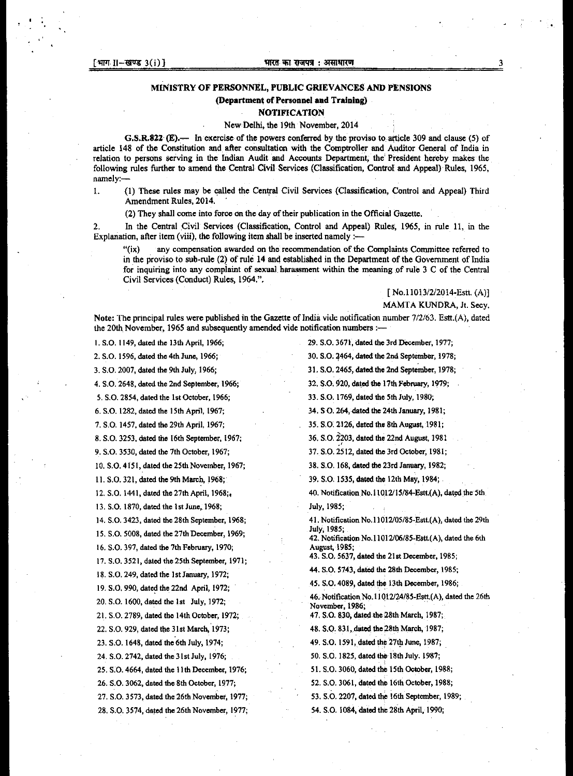#### **MINISTRY OF PERSONNEL, PUBLIC GRIEVANCES AND PENSIONS**

#### **(Department of Personnel and Training)**

#### **NOTIFICATION**

#### **New Delhi, the 19th November, 2014**

**G.S.R.822 (E).— In exercise of the powers conferred by the proviso to article 309 and clause (5) of article 148 of the Constitution and after consultation with the Comptroller and Auditor General of India in relation to persons serving in the Indian Audit and Accounts Department, the President hereby makes the following rules further to amend the Central Civil Services (Classification, Control and Appeal) Rules, 1965, namely:-** 

**1. (1) These rules may be called the Central Civil Services (Classification, Control and Appeal) Third Amendment Rules, 2014.** 

**(2) They shall come into force on the day of their publication in the Official Gazette.** 

**2. In the Central Civil Services (Classification, Control and Appeal) Rules, 1965, in rule 11, in the Explanation, after item (viii), the following item shall be inserted namely :-** 

**"(ix) any compensation awarded on the recommendation of the Complaints Committee referred to in the proviso to sub-rule (2) of rule 14 and established in the Department of the Government of India for inquiring into any complaint of sexual harassment within the meaning of rule 3 C of the Central Civil Services (Conduct) Rules, 1964,".** 

> **[ No.11013/2/2014-Estt. (A)] MAMTA KUNDRA, it. Secy.**

**Note: The principal rules were published in the Gazette of India vide notification number 7/2/63. Estt.(A), dated the 20th November, 1965 and subsequently amended vide notification numbers :—** 

**I. S.O. 1149, dated the 13th April, 1966;** 

**2. S.O. 1596, dated the 4th June, 1966;** 

**3. S.O. 2007, dated the 9th July, 1966;** 

**4. S.O. 2648, dated the 2nd September, 1966;** 

**5. S.O. 2854, dated the 1st October, 1966;** 

**6. S.O. 1282, dated the 15th April, 1967;** 

**7. S.O. 1457, dated the 29th April, 1967;** 

**8. S.O. 3253, dated the 16th September, 1967;** 

**9. S.O. 3530, dated the 7th October, 1967;** 

**10.SO. 4151, dated the 25th November, 1967;** 

**11.SD. 321, dated the 9th March, 1968;** 

**12.S.O. 1441, dated the 27th April, 1968;,** 

**13.S.O. 1870, dated the 1st June, 1968;** 

**14.S.O. 3423, dated the 28th September, 1968;** 

**15.S.O. 5008, dated the 27th December, 1969;** 

**16.S.O. 397, dated the 7th February, 1970;** 

**17.S.O. 3521, dated the 25th September, 1971;** 

**18.S.O. 249, dated the 1st January, 1972;** 

**19.S.C. 990, dated the 22nd April, 1972;** 

**20. S.O. 1600, dated the 1st July, 1972;** 

**21. S.O. 2789, dated the 14th October, 1972;** 

**22.S.O. 929, dated the 31st March, 1973;** 

**23.S.O. 1648, dated the 6th July, 1974;** 

**24.SO. 2742, dated the 31st July, 1976;** 

**25.S.O. 4664, dated the Ilth December, 1976;** 

**26.S.O. 3062, dated the 8th October, 1977;** 

**27. S.O. 3573, dated the 26th November, 1977;** 

**28.S.O. 3574, dated the 26th November, 1977;** 

**29.S.O. 3671, dated the 3rd December, 1977; 30.SO.** 4464, **dated the 2nd September, 1978;** 

**31.S.O. 2465, dated the 2nd September, 1978;** 

**32. S.O. 920, dated the 17th February, 1979;** 

**33.S.O. 1769, dated the 5th July, 1980;** 

**34.S O. 264, dated the 24th January, 1981;** 

**35.S.O. 2126, dated the 8th August, 1981;** 

**36. S.O. 2203, dated the 22nd August, 1981** 

**37. S.O. 2512, dated the 3rd October, 1981;** 

**38.S.O. 168, dated the 23rd January, 1982;** 

**39.S.O. 1535, dated the 12th May, 1984;** 

**40.Notification No.11012/15/84-EstgA), dated the 5th July, 1985;** 

**41.Notification No.11012/05/85-Estt.(A), dated the 29th July, 1985;** 

**42. Notification No.11012/06/85-Estt(A), dated the 6th August, 1985;** 

**43. S.O. 5637, dated the 21st December, 1985;** 

**44. S.O. 5743, dated the 28th December, 1985;** 

**45. S.0.4089, dated the 13th December, 1986;** 

**46.Notification No.11012/24/85-Estt.(A), dated the 26th November, 1986;** 

**47. S.O. 830, dated the 28th March, 1987;** 

**48. S.O. 831, dated the 28th March, 1987;** 

**49. S.O. 1591, dated the 27th June, 1987;** 

**50. S.O. 1825, dated the 18th July. 1987;** 

**51. S.O. 3060, dated the 15th October, 1988;** 

**52.S.O. 3061, dated the 16th October, 1988;** 

**53.S.O. 2207, dated the 16th September, 1989;** 

**54.S.O. 1084, dated the 28th April, 1990;**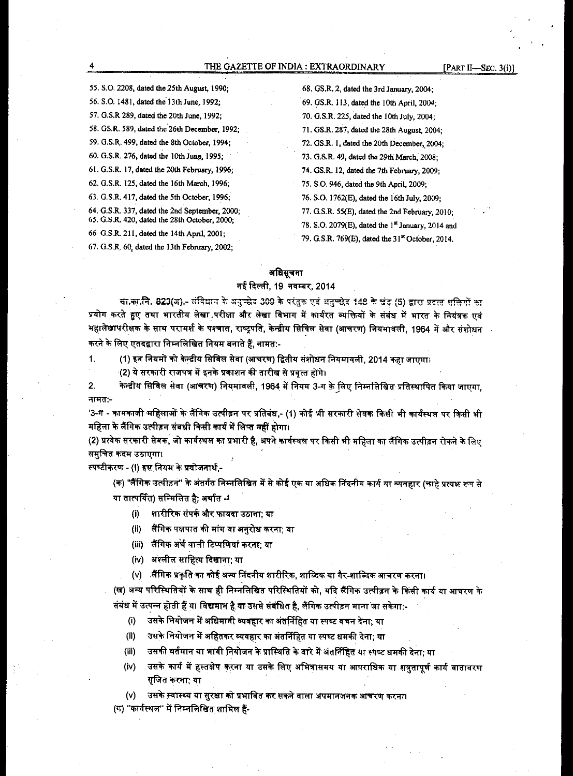#### THE GAZETTE OF INDIA : EXTRAORDINARY [PART II—SEC. 3(i)]

55.S.O. 2208, dated the 25th August, 1990; 56. S.O. 1481, dated the 13th June, 1992; 57.G.S.R 289, dated the 20th June, 1992; 58.GS.R. 589, dated the'26th December, 1992; 59.G.S.R. 499, dated the 8th October, 1994; 60.G.S.R. 276, dated the 10th June, 1995; 61.G.S.R. 17, dated the 20th February, 1996; 62.G.S.R. 125, dated the 16th March, 1996; 63.G.S.R. 417, dated the 5th October, 1996; 64.G.S.R. 337, dated the 2nd September, 2000; 65.G.S.R. 420, dated the 28th October, 2000; 66 G.S.R. 211, dated the 14th April, 2001;

67. G.S.R. 60, dated the 13th February, 2002;

68.GS.R. 2, dated the 3rd January, 2004; 69.GS.R. 113, dated the 10th April, 2004; 70.G.S.R. 225, dated the 10th July, 2004; 71.GS.R. 287, dated the 28th August, 2004; 72.GS.R. 1, dated the 20th December,, 2004; 73.G.S.R. 49, dated the 29th March, 2008; 74.GS.R. 12, dated the 7th February, 2009; 75. S.O. 946, dated the 9th April, 2009; 76.S.O. 1762(E), dated the 16th July, 2009; 77.G.S.R. 55(E), dated the 2nd February, 2010; 78. S.O. 2079 $(E)$ , dated the  $1<sup>st</sup>$  January, 2014 and

79. G.S.R. 769(E), dated the 31<sup>st</sup> October, 2014.

#### **e**, ब्रिसचना

#### नई दिल्ली, 19 नवम्बर, 2014

सा.का.नि. 823(ज).- संविधान के अनुच्छेद 309 के परंतुक एवं अनुच्छेद 148 के खंड (5) द्वारा प्रदत्त शक्तियों का प्रयोग करते हुए तथा भारतीय लेखा परीक्षा और लेखा विभाग में कार्यरत व्यक्तियों के संबंध में भारत के नियंत्रक एवं महालेखापरीक्षक के साथ परामर्श के पश्चात, राष्ट्रपति, केन्द्रीय सिविल सेवा (आचरण) नियमावली, 1964 में और संशोधन **करने के लिए एतदद्वारा निम्नलिखित नियम बनाते हैं, नामत:-**

1. (1) इन नियमों को केन्द्रीय सिविल सेवा (आचरण) द्वितीय संशोधन नियमावली, 2014 कहा जाएगा।

(2) ये सरकारी राजपत्र में इनके प्रकाशन की तारीख से प्रवृत्त होंगे।

2. केन्द्रीय सिविल सेवा (आचरण) नियमावली, 1964 में नियम 3-ग के लिए निम्नलिखित प्रतिस्थापित किया जाएगा, नामत:-

'3-ग - कामकाजी महिलाओं के लैंगिक उत्पीड़न पर प्रतिबंध,- (1) कोई भी सरकारी सेवक किसी भी कार्यस्थल पर किसी भी महिला के लैंगिक उत्पीड़न संबधी किसी कार्य में लिप्त नहीं होगा।

(2) प्रत्येक सरकारी सेवक, जो कार्यस्थल का प्रभारी है, अपने कार्यस्थल पर किसी भी महिला का लैंगिक उत्पीड़न रोकने के लिए समुचित कदम उठाएगा।

स्पष्टीकरण - (I) इस नियम के प्रयोजनार्थ.-

(क) "लैंगिक उत्पीड़न" के अंतर्गत निम्नलिखित में से कोई एक या अधिक निंदनीय कार्य या व्यवहार (चाहे प्रत्यक्ष रूप से या तात्पर्यित) सम्मिलित है; अर्थात  $\stackrel{\centerdot}{\centerdot}$ 

(i) शारीरिक संपर्क और फायदा उठाना; या

**लैंगिक पक्षपात की मांग या अनुरोध करना; या**  $(ii)$ 

- (iii) लैंगिक अर्थ वाली टिप्पणियां करना: या
- (iv) अश्लील साहित्य दिखाना; या

(v) ॉरैंगिक प्रकृति का कोई अन्य निंदनीय शारीरिक, शाब्दिक या गैर-शाब्दिक आचरण करना।

(ख) अन्य परिस्थितियों के साथ ही निम्नलिखित परिस्थितियों को, यदि लैंगिक उत्पीड़न के किसी कार्य या आचरण के संबंध में उत्पन्न होती हैं या विद्यमान है या उससे संबंधित है, लैंगिक उत्पीड़न माना **जा सकेगा:-**

- (i) , उसके नियोजन में अधिमानी व्यवहार का अंतर्निहित या स्पष्ट वचन देना; या
- (ii) उसके नियोजन में अहितकर व्यवहार का अंतर्निहित या स्पष्ट धमकी देना; या
- उसकी वर्तमान या भावी नियोजन के प्रास्थिति के बारे में अंतर्निहित या स्पष्ट धमकी देना; या  $(iii)$
- (iv) , उसके कार्य में हस्तक्षेप करना या उसके लिए अभित्रासमय या आपराधिक या शत्रुतापूर्ण कार्य बातावरण सजित करना; या
- (v) उसके स्वास्थ्य या सुरक्षा को प्रभावित कर सकने वाला अपमानजनक आचरण करना।

(ग) "कार्यस्थल" में निम्नलिखित शामिल हैं-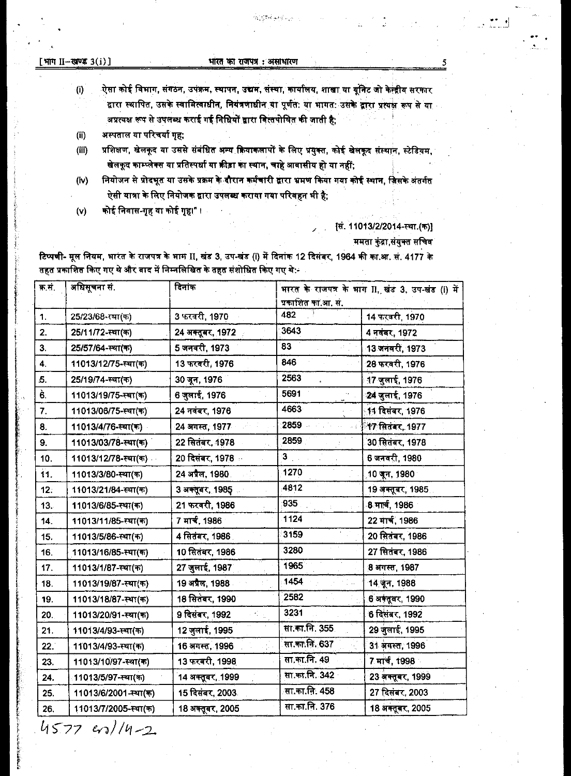[भाग  $II$ -खण्ड  $3(i)$ ]

 $(i)$ 

### भारत का राजपत्र : असाधारण

.<br>ऐसा कोई विभाग, संगठन, उपक्रम, स्थापन, उद्यम, संस्था, कार्यालय, शाखा या यूनिट जो केन्द्रीय सरकार .<br>द्वारा स्थापित, उसके स्वामित्वाधीन, नियंत्रणाधीन या पूर्णत: या भागत: उसके द्वारा प्रत्यक्ष रूप से या अप्रत्यक्ष रूप से उपलब्ध कराई गई निधियों द्वारा वित्तपोषित की जाती है:

- अस्पताल या परिचर्या गृह:  $(ii)$
- प्रशिक्षण, खेलकूद या उससे संबंधित अन्य क्रियाकलापों के लिए प्रयुक्त, कोई खेलकूद संस्थान, स्टेडियम,  $(iii)$ खेलकूद काम्प्लेक्स या प्रतिस्पर्धा या क्रीड़ा का स्थान, चाहे आवासीय हो या नहीं;
- नियोजन से प्रोदभूत या उसके प्रक्रम के दौरान कर्मचारी द्वारा भ्रमण किया गया कोई स्थान, जिसके अंतर्गत  $(N)$ ऐसी यात्रा के लिए नियोजक द्वारा उपलब्ध कराया गया परिवहन भी है:
- कोई निवास-गृह या कोई गृह।" ।  $(v)$

### [सं. 11013/2/2014-स्था.(क)]

ममता कुंद्रा,संयुक्त सचिव

टिप्पणी- मूल नियम, भारत के राजपत्र के भाग II, खंड 3, उप-खंड (i) में दिनांक 12 दिसंबर, 1964 की का.आ. सं. 4177 के तहत प्रकाशित किए गए थे और बाद में निम्नलिखित के तहत संशोधित किए गए थे -

| क.स.                 | अधिसूचना सं.         | दिनांक            | भारत के राजपत्र के भाग II, खंड 3, उप-खंड (i) में |                   |  |  |
|----------------------|----------------------|-------------------|--------------------------------------------------|-------------------|--|--|
|                      |                      |                   |                                                  | प्रकाशित का.आ. स. |  |  |
| 1.                   | 25/23/68-स्था(क)     | 3 फरवरी, 1970     | 482                                              | 14 फरवरी, 1970    |  |  |
| 2.                   | 25/11/72-स्था(क)     | 24 अक्तूबर, 1972  | 3643                                             | 4 नवंबर, 1972     |  |  |
| 3.                   | 25/57/64-स्था(क)     | 5 जनवरी, 1973     | 83                                               | 13 जनवरी, 1973    |  |  |
| $\ddot{4}$ .         | 11013/12/75-स्था(क)  | 13 फरवरी, 1976    | 846                                              | 28 फरवरी, 1976    |  |  |
| 5.                   | 25/19/74-स्था(क)     | 30 जून, 1976      | 2563                                             | 17 जुलाई, 1976    |  |  |
| $\hat{\mathbf{6}}$ . | 11013/19/75-स्था(क)  | 6 जुलाई, 1976     | 5691                                             | 24 जुलाई, 1976    |  |  |
| 7.                   | 11013/06/75-स्था(क)  | 24 नवंबर, 1976    | 4663                                             | 11 दिसंबर, 1976   |  |  |
| 8.                   | 11013/4/76-स्था(क)   | 24 अगस्त, 1977    | 2859                                             | 17 सितंबर, 1977   |  |  |
| 9.                   | 11013/03/78-स्था(क)  | 22 सितंबर, 1978   | 2859                                             | 30 सितंबर, 1978   |  |  |
| 10.                  | 11013/12/78-स्था(क)  | 20 दिसंबर, 1978 ः | $3 -$                                            | 6 जनवरी, 1980     |  |  |
| 11.                  | 11013/3/80-स्था(क)   | 24 अप्रैल, 1980.  | 1270                                             | 10 जून, 1980      |  |  |
| 12.                  | 11013/21/84-स्था(क)  | 3 अक्तूबर, 1985   | 4812                                             | 19 अक्तूबर, 1985  |  |  |
| 13.                  | 11013/6/85-स्था(क)   | 21 फरवरी, 1986    | 935                                              | 8 मार्च, 1986     |  |  |
| 14.                  | 11013/11/85-स्था(क)  | 7 मार्च, 1986     | 1124                                             | 22 मार्च, 1986    |  |  |
| 15.                  | 11013/5/86-स्था(क)   | 4 सितंबर, 1986.   | 3159                                             | 20 सितंबर, 1986   |  |  |
| 16.                  | 11013/16/85-स्था(क)  | 10 सितंबर, 1986   | 3280                                             | 27 सितंबर, 1986   |  |  |
| 17.                  | 11013/1/87-स्था(क)   | 27 जुलाई, 1987    | 1965                                             | 8 अगस्त, 1987     |  |  |
| 18.                  | 11013/19/87-स्था(क)  | 19 अप्रैल, 1988   | 1454                                             | 14 जून, 1988      |  |  |
| 19.                  | 11013/18/87-स्था(क)  | 18 सितंबर, 1990   | 2582                                             | 6 अक्तूबर, 1990   |  |  |
| 20.                  | 11013/20/91-स्था(क)  | 9 दिसंबर, 1992    | 3231                                             | 6 दिसंबर, 1992    |  |  |
| 21.                  | 11013/4/93-स्था(क)   | 12 जुलाई, 1995    | सा.का.नि. 355.                                   | 29 जुलाई, 1995    |  |  |
| 22.                  | 11013/4/93-स्था(क).  | 16 अगस्त, 1996    | सा.का.नि. 637                                    | 31 अगस्त, 1996    |  |  |
| 23.                  | 11013/10/97-स्था(क)  | 13 फरवरी, 1998    | सा.का.नि. 49                                     | 7 मार्च, 1998     |  |  |
| 24.                  | 11013/5/97-स्था(क)   | 14 अक्तूबर, 1999  | सा का.नि. 342                                    | 23 अक्तूबर, 1999  |  |  |
| 25.                  | 11013/6/2001-स्था(क) | 15 दिसंबर, 2003.  | सा.का.नि. 458                                    | 27 दिसंबर, 2003   |  |  |
| 26.                  | 11013/7/2005-स्था(क) | 18 अक्तूबर, 2005  | <u>सा.का.नि. 376</u>                             | 18 अक्तूबर, 2005  |  |  |

 $4577$   $m14-2$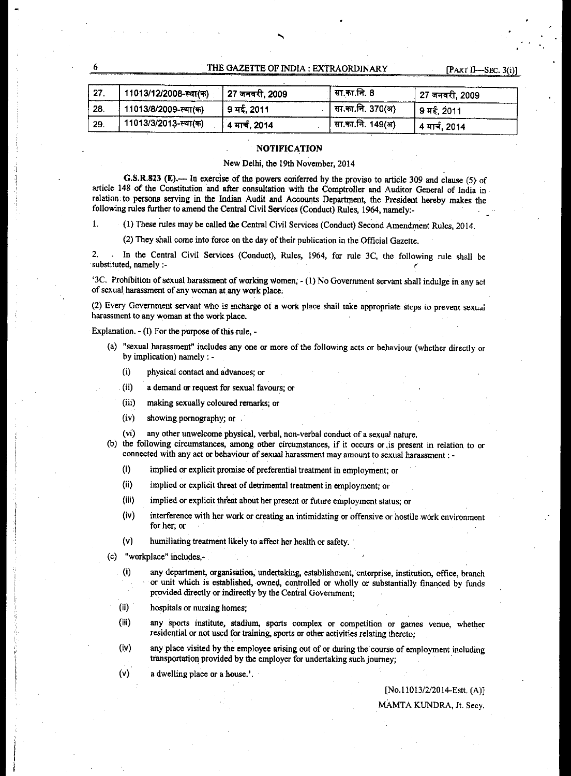#### THE GAZETTE OF INDIA : EXTRAORDINARY [PART II—SEC. 3(i)

| $\vert$ 27. | 11013/12/2008-स्था(क) │ 27 जनवरी, 2009 |               | सा.का.नि. 8      | <b>27 जनवरी, 2009</b> |
|-------------|----------------------------------------|---------------|------------------|-----------------------|
| $\vert$ 28. | <sub>(</sub> 11013/8/2009-स्था(क)      | 9 मई, 2011    | सा.का.नि. 370(अ) | । 9 मई. 2011          |
| ' 29.       | 11013/3/2013-स्था(क)                   | 4 मार्च, 2014 | सा.का.नि. 149(अ) | 4 मार्च, 2014         |

#### **NOTIFICATION**

New Delhi, the 19th November, 2014

G.S.R.823 (E).— In exercise of the powers conferred by the proviso to article 309 and clause (5) of article 148 of the Constitution and after consultation with the Comptroller and Auditor General of India in relation: to persons serving in the Indian Audit and Accounts Department, the President hereby makes the following rules further to amend the Central Civil Services (Conduct) Rules, 1964, namely:-

1. (1) These rules may be called the Central Civil Services (Conduct) Second Amendment Rules, 2014.

(2) They shall come into force on the day of their publication in the Official Gazette.

2. . In the Central Civil Services (Conduct), Rules, 1964, for rule 3C, the following rule shall be 'substituted, namely :-

'3C. Prohibition of sexual harassment of working Women, - (1) No Government servant shall indulge in any act of sexual harassment of any woman at any work place.

(2) Every Government servant who is incharge of a work place shall take appropriate steps to prevent sexual harassment to any woman at the work place.

Explanation. - (I) For the purpose of this rule, -

- (a) "sexual harassment" includes any one or more of the following acts or behaviour (whether directly or by implication) namely : -
	- (i) physical contact and advances; or
	- (ii) a demand or request for sexual favours; or
	- (iii) making sexually coloured remarks; or
	- (iv) showing pornography; or .
	- (vi) any other unwelcome physical, verbal, non-verbal conduct of a sexual nature.
- (b) the following circumstances, among other circumstances, if it occurs or ,is present in relation to or connected with any act or behaviour of sexual harassment may amount to sexual harassment : -
	- (I) implied or explicit promise of preferential treatment in employment; or
	- (ii) implied or explicit threat of detrimental treatment in employment; or
	- (iii) implied or explicit threat about her present or future employment status; or
	- (iv) interference with her work or creating an intimidating or offensive or hostile work environment for her; or
	- (v) humiliating treatment likely to affect her health or safety.
- (c) "workplace" includes,-
	- (I) any department, organisation, undertaking, establishment, enterprise, institution, office, branch or unit which is established, owned, controlled or wholly or substantially financed by funds provided directly or indirectly by the Central Government;
	- (ii) hospitals or nursing homes;
	- (iii) any sports institute, stadium, sports complex or competition or games venue, whether residential or not used for training, sports or other activities relating thereto;
	- any place visited by the employee arising out of or during the course of employment including transportation provided by the employer for undertaking such journey;  $(iv)$
	- (v) a dwelling place or a house.'.

[No.11013/2/2014-Estt. (A)] MAMTA KUNDRA, It. Secy.